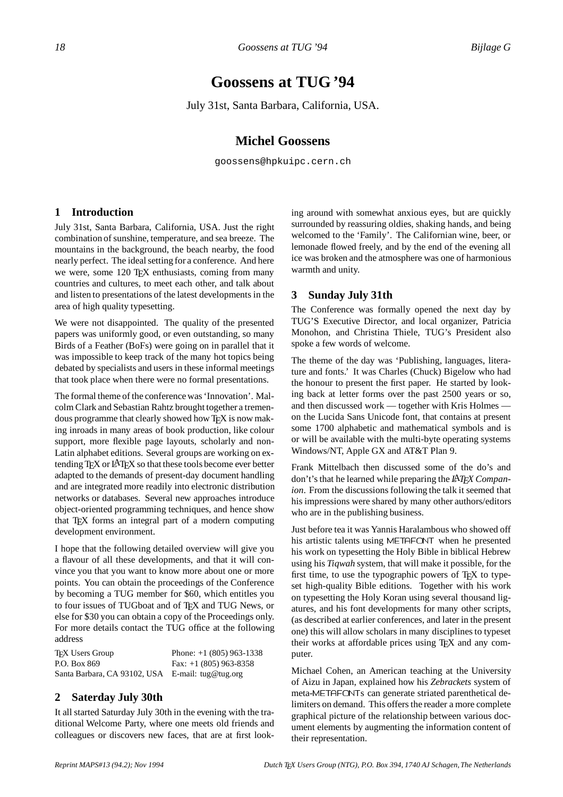# **Goossens at TUG '94**

July 31st, Santa Barbara, California, USA.

# **Michel Goossens**

goossens@hpkuipc.cern.ch

#### **1 Introduction**

July 31st, Santa Barbara, California, USA. Just the right combination of sunshine, temperature, and sea breeze. The mountains in the background, the beach nearby, the food nearly perfect. The ideal setting for a conference. And here we were, some 120 TEX enthusiasts, coming from many countries and cultures, to meet each other, and talk about and listen to presentations of the latest developments in the area of high quality typesetting.

We were not disappointed. The quality of the presented papers was uniformly good, or even outstanding, so many Birds of a Feather (BoFs) were going on in parallel that it was impossible to keep track of the many hot topics being debated by specialists and users in these informal meetings that took place when there were no formal presentations.

The formal theme of the conference was 'Innovation'. Malcolm Clark and Sebastian Rahtz brought together a tremendous programme that clearly showed how TEX is now making inroads in many areas of book production, like colour support, more flexible page layouts, scholarly and non-Latin alphabet editions. Several groups are working on extending T<sub>EX</sub> or LAT<sub>EX</sub> so that these tools become ever better adapted to the demands of present-day document handling and are integrated more readily into electronic distribution networks or databases. Several new approaches introduce object-oriented programming techniques, and hence show that TEX forms an integral part of a modern computing development environment.

I hope that the following detailed overview will give you a flavour of all these developments, and that it will convince you that you want to know more about one or more points. You can obtain the proceedings of the Conference by becoming a TUG member for \$60, which entitles you to four issues of TUGboat and of TEX and TUG News, or else for \$30 you can obtain a copy of the Proceedings only. For more details contact the TUG office at the following address

| <b>TEX Users Group</b>                           | Phone: $+1(805)963-1338$ |
|--------------------------------------------------|--------------------------|
| P.O. Box 869                                     | Fax: $+1$ (805) 963-8358 |
| Santa Barbara, CA 93102, USA E-mail: tug@tug.org |                          |

# **2 Saterday July 30th**

It all started Saturday July 30th in the evening with the traditional Welcome Party, where one meets old friends and colleagues or discovers new faces, that are at first looking around with somewhat anxious eyes, but are quickly surrounded by reassuring oldies, shaking hands, and being welcomed to the 'Family'. The Californian wine, beer, or lemonade flowed freely, and by the end of the evening all ice was broken and the atmosphere was one of harmonious warmth and unity.

#### **3 Sunday July 31th**

The Conference was formally opened the next day by TUG'S Executive Director, and local organizer, Patricia Monohon, and Christina Thiele, TUG's President also spoke a few words of welcome.

The theme of the day was 'Publishing, languages, literature and fonts.' It was Charles (Chuck) Bigelow who had the honour to present the first paper. He started by looking back at letter forms over the past 2500 years or so, and then discussed work — together with Kris Holmes on the Lucida Sans Unicode font, that contains at present some 1700 alphabetic and mathematical symbols and is or will be available with the multi-byte operating systems Windows/NT, Apple GX and AT&T Plan 9.

Frank Mittelbach then discussed some of the do's and don't's that he learned while preparing the *L*A*TEX Companion*. From the discussions following the talk it seemed that his impressions were shared by many other authors/editors who are in the publishing business.

Just before tea it was Yannis Haralambous who showed off his artistic talents using METAFONT when he presented his work on typesetting the Holy Bible in biblical Hebrew using his *Tiqwah* system, that will make it possible, for the first time, to use the typographic powers of  $T_F X$  to typeset high-quality Bible editions. Together with his work on typesetting the Holy Koran using several thousand ligatures, and his font developments for many other scripts, (as described at earlier conferences, and later in the present one) this will allow scholars in many disciplines to typeset their works at affordable prices using T<sub>EX</sub> and any computer.

Michael Cohen, an American teaching at the University of Aizu in Japan, explained how his *Zebrackets* system of meta-METAFONTs can generate striated parenthetical delimiters on demand. This offers the reader a more complete graphical picture of the relationship between various document elements by augmenting the information content of their representation.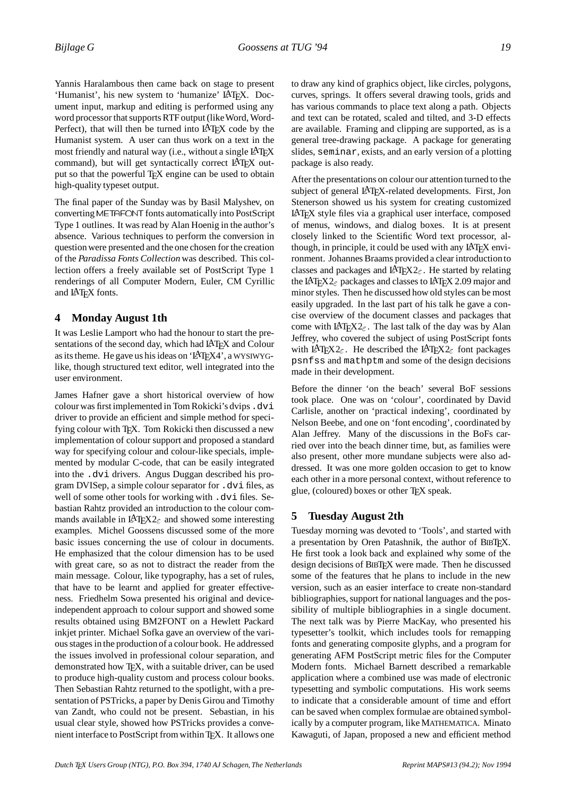Yannis Haralambous then came back on stage to present 'Humanist', his new system to 'humanize' LATEX. Document input, markup and editing is performed using any word processor that supports RTF output (like Word, Word-Perfect), that will then be turned into LAT<sub>EX</sub> code by the Humanist system. A user can thus work on a text in the most friendly and natural way (i.e., without a single LATEX command), but will get syntactically correct LAT<sub>EX</sub> output so that the powerful T<sub>EX</sub> engine can be used to obtain high-quality typeset output.

The final paper of the Sunday was by Basil Malyshev, on converting METAFONT fonts automatically into PostScript Type 1 outlines. It was read by Alan Hoenig in the author's absence. Various techniques to perform the conversion in question were presented and the one chosen for the creation of the *Paradissa Fonts Collection* was described. This collection offers a freely available set of PostScript Type 1 renderings of all Computer Modern, Euler, CM Cyrillic and LATEX fonts.

## **4 Monday August 1th**

It was Leslie Lamport who had the honour to start the presentations of the second day, which had LAT<sub>EX</sub> and Colour as its theme. He gave us his ideas on 'LATEX4', a WYSIWYGlike, though structured text editor, well integrated into the user environment.

James Hafner gave a short historical overview of how colour was first implemented in Tom Rokicki's dvips.dvi driver to provide an efficient and simple method for specifying colour with TEX. Tom Rokicki then discussed a new implementation of colour support and proposed a standard way for specifying colour and colour-like specials, implemented by modular C-code, that can be easily integrated into the .dvi drivers. Angus Duggan described his program DVISep, a simple colour separator for .dvi files, as well of some other tools for working with .dvi files. Sebastian Rahtz provided an introduction to the colour commands available in  $\text{LATEX2}_{\varepsilon}$  and showed some interesting examples. Michel Goossens discussed some of the more basic issues concerning the use of colour in documents. He emphasized that the colour dimension has to be used with great care, so as not to distract the reader from the main message. Colour, like typography, has a set of rules, that have to be learnt and applied for greater effectiveness. Friedhelm Sowa presented his original and deviceindependent approach to colour support and showed some results obtained using BM2FONT on a Hewlett Packard inkjet printer. Michael Sofka gave an overview of the various stages in the productionof a colour book. He addressed the issues involved in professional colour separation, and demonstrated how TEX, with a suitable driver, can be used to produce high-quality custom and process colour books. Then Sebastian Rahtz returned to the spotlight, with a presentation of PSTricks, a paper by Denis Girou and Timothy van Zandt, who could not be present. Sebastian, in his usual clear style, showed how PSTricks provides a convenient interface to PostScript from within TEX. It allows one

to draw any kind of graphics object, like circles, polygons, curves, springs. It offers several drawing tools, grids and has various commands to place text along a path. Objects and text can be rotated, scaled and tilted, and 3-D effects are available. Framing and clipping are supported, as is a general tree-drawing package. A package for generating slides, seminar, exists, and an early version of a plotting package is also ready.

After the presentations on colour our attention turned to the subject of general LATEX-related developments. First, Jon Stenerson showed us his system for creating customized LATEX style files via a graphical user interface, composed of menus, windows, and dialog boxes. It is at present closely linked to the Scientific Word text processor, although, in principle, it could be used with any LAT<sub>EX</sub> environment. Johannes Braams provided a clear introductionto classes and packages and  $\angle$ AT<sub>E</sub>X2<sub> $\epsilon$ </sub>. He started by relating the LAT<sub>EX2 $\varepsilon$ </sub> packages and classes to LATEX 2.09 major and minor styles. Then he discussed how old styles can be most easily upgraded. In the last part of his talk he gave a concise overview of the document classes and packages that come with  $L\text{Tr}X2_{\epsilon}$ . The last talk of the day was by Alan Jeffrey, who covered the subject of using PostScript fonts with LAT<sub>EX2</sub>. He described the LAT<sub>EX2</sub> font packages psnfss and mathptm and some of the design decisions made in their development.

Before the dinner 'on the beach' several BoF sessions took place. One was on 'colour', coordinated by David Carlisle, another on 'practical indexing', coordinated by Nelson Beebe, and one on 'font encoding', coordinated by Alan Jeffrey. Many of the discussions in the BoFs carried over into the beach dinner time, but, as families were also present, other more mundane subjects were also addressed. It was one more golden occasion to get to know each other in a more personal context, without reference to glue, (coloured) boxes or other TEX speak.

## **5 Tuesday August 2th**

Tuesday morning was devoted to 'Tools', and started with a presentation by Oren Patashnik, the author of BIBTEX. He first took a look back and explained why some of the design decisions of BIBTEX were made. Then he discussed some of the features that he plans to include in the new version, such as an easier interface to create non-standard bibliographies, support for national languages and the possibility of multiple bibliographies in a single document. The next talk was by Pierre MacKay, who presented his typesetter's toolkit, which includes tools for remapping fonts and generating composite glyphs, and a program for generating AFM PostScript metric files for the Computer Modern fonts. Michael Barnett described a remarkable application where a combined use was made of electronic typesetting and symbolic computations. His work seems to indicate that a considerable amount of time and effort can be saved when complex formulae are obtained symbolically by a computer program, like MATHEMATICA. Minato Kawaguti, of Japan, proposed a new and efficient method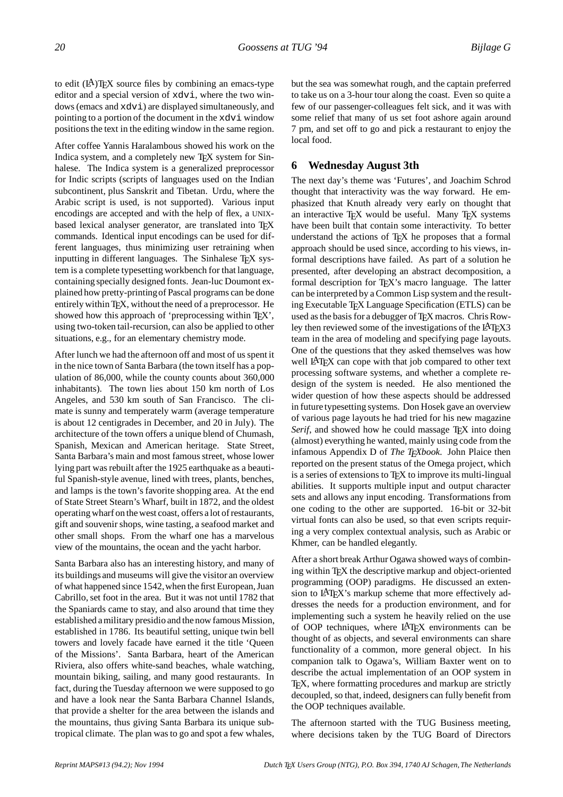to edit  $(L<sup>A</sup>)$ T<sub>F</sub>X source files by combining an emacs-type editor and a special version of xdvi, where the two windows (emacs and xdvi) are displayed simultaneously, and pointing to a portion of the document in the xdvi window positions the text in the editing window in the same region.

After coffee Yannis Haralambous showed his work on the Indica system, and a completely new TEX system for Sinhalese. The Indica system is a generalized preprocessor for Indic scripts (scripts of languages used on the Indian subcontinent, plus Sanskrit and Tibetan. Urdu, where the Arabic script is used, is not supported). Various input encodings are accepted and with the help of flex, a UNIXbased lexical analyser generator, are translated into TFX commands. Identical input encodings can be used for different languages, thus minimizing user retraining when inputting in different languages. The Sinhalese TEX system is a complete typesetting workbench for that language, containing specially designed fonts. Jean-luc Doumont explained how pretty-printingof Pascal programs can be done entirely within T<sub>E</sub>X, without the need of a preprocessor. He showed how this approach of 'preprocessing within T<sub>EX</sub>', using two-token tail-recursion, can also be applied to other situations, e.g., for an elementary chemistry mode.

After lunch we had the afternoon off and most of us spent it in the nice town of Santa Barbara (the town itself has a population of 86,000, while the county counts about 360,000 inhabitants). The town lies about 150 km north of Los Angeles, and 530 km south of San Francisco. The climate is sunny and temperately warm (average temperature is about 12 centigrades in December, and 20 in July). The architecture of the town offers a unique blend of Chumash, Spanish, Mexican and American heritage. State Street, Santa Barbara's main and most famous street, whose lower lying part was rebuilt after the 1925 earthquake as a beautiful Spanish-style avenue, lined with trees, plants, benches, and lamps is the town's favorite shopping area. At the end of State Street Stearn's Wharf, built in 1872, and the oldest operating wharf on the west coast, offers a lot of restaurants, gift and souvenir shops, wine tasting, a seafood market and other small shops. From the wharf one has a marvelous view of the mountains, the ocean and the yacht harbor.

Santa Barbara also has an interesting history, and many of its buildings and museums will give the visitor an overview of what happened since 1542,when the first European, Juan Cabrillo, set foot in the area. But it was not until 1782 that the Spaniards came to stay, and also around that time they established a military presidio and the now famous Mission, established in 1786. Its beautiful setting, unique twin bell towers and lovely facade have earned it the title 'Queen of the Missions'. Santa Barbara, heart of the American Riviera, also offers white-sand beaches, whale watching, mountain biking, sailing, and many good restaurants. In fact, during the Tuesday afternoon we were supposed to go and have a look near the Santa Barbara Channel Islands, that provide a shelter for the area between the islands and the mountains, thus giving Santa Barbara its unique subtropical climate. The plan was to go and spot a few whales,

but the sea was somewhat rough, and the captain preferred to take us on a 3-hour tour along the coast. Even so quite a few of our passenger-colleagues felt sick, and it was with some relief that many of us set foot ashore again around 7 pm, and set off to go and pick a restaurant to enjoy the local food.

#### **6 Wednesday August 3th**

The next day's theme was 'Futures', and Joachim Schrod thought that interactivity was the way forward. He emphasized that Knuth already very early on thought that an interactive TEX would be useful. Many TEX systems have been built that contain some interactivity. To better understand the actions of TEX he proposes that a formal approach should be used since, according to his views, informal descriptions have failed. As part of a solution he presented, after developing an abstract decomposition, a formal description for TEX's macro language. The latter can be interpreted by a Common Lisp system and the resulting Executable TEX Language Specification (ETLS) can be used as the basis for a debugger of TEX macros. Chris Rowley then reviewed some of the investigations of the LAT<sub>EX<sup>3</sup></sub> team in the area of modeling and specifying page layouts. One of the questions that they asked themselves was how well LAT<sub>EX</sub> can cope with that job compared to other text processing software systems, and whether a complete redesign of the system is needed. He also mentioned the wider question of how these aspects should be addressed in future typesetting systems. Don Hosek gave an overview of various page layouts he had tried for his new magazine *Serif*, and showed how he could massage T<sub>E</sub>X into doing (almost) everything he wanted, mainly using code from the infamous Appendix D of *The TEXbook*. John Plaice then reported on the present status of the Omega project, which is a series of extensions to TEX to improve its multi-lingual abilities. It supports multiple input and output character sets and allows any input encoding. Transformations from one coding to the other are supported. 16-bit or 32-bit virtual fonts can also be used, so that even scripts requiring a very complex contextual analysis, such as Arabic or Khmer, can be handled elegantly.

After a short break Arthur Ogawa showed ways of combining within TEX the descriptive markup and object-oriented programming (OOP) paradigms. He discussed an extension to LAT<sub>EX</sub>'s markup scheme that more effectively addresses the needs for a production environment, and for implementing such a system he heavily relied on the use of OOP techniques, where LATEX environments can be thought of as objects, and several environments can share functionality of a common, more general object. In his companion talk to Ogawa's, William Baxter went on to describe the actual implementation of an OOP system in TEX, where formatting procedures and markup are strictly decoupled, so that, indeed, designers can fully benefit from the OOP techniques available.

The afternoon started with the TUG Business meeting, where decisions taken by the TUG Board of Directors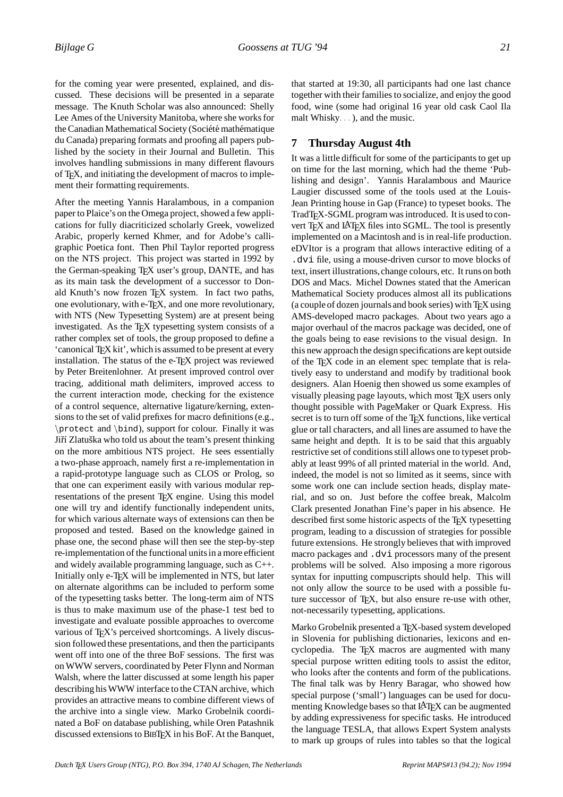for the coming year were presented, explained, and discussed. These decisions will be presented in a separate message. The Knuth Scholar was also announced: Shelly Lee Ames of the University Manitoba, where she works for the Canadian Mathematical Society (Société mathématique du Canada) preparing formats and proofing all papers published by the society in their Journal and Bulletin. This involves handling submissions in many different flavours of TEX, and initiating the development of macros to implement their formatting requirements.

After the meeting Yannis Haralambous, in a companion paper to Plaice's on the Omega project, showed a few applications for fully diacriticized scholarly Greek, vowelized Arabic, properly kerned Khmer, and for Adobe's calligraphic Poetica font. Then Phil Taylor reported progress on the NTS project. This project was started in 1992 by the German-speaking T<sub>EX</sub> user's group, DANTE, and has as its main task the development of a successor to Donald Knuth's now frozen TEX system. In fact two paths, one evolutionary, with e-T<sub>E</sub>X, and one more revolutionary, with NTS (New Typesetting System) are at present being investigated. As the T<sub>EX</sub> typesetting system consists of a rather complex set of tools, the group proposed to define a 'canonical TEX kit', which is assumed to be present at every installation. The status of the e-TEX project was reviewed by Peter Breitenlohner. At present improved control over tracing, additional math delimiters, improved access to the current interaction mode, checking for the existence of a control sequence, alternative ligature/kerning, extensions to the set of valid prefixes for macro definitions (e.g., \protect and \bind), support for colour. Finally it was Jiří Zlatuška who told us about the team's present thinking on the more ambitious NTS project. He sees essentially a two-phase approach, namely first a re-implementation in a rapid-prototype language such as CLOS or Prolog, so that one can experiment easily with various modular representations of the present T<sub>EX</sub> engine. Using this model one will try and identify functionally independent units, for which various alternate ways of extensions can then be proposed and tested. Based on the knowledge gained in phase one, the second phase will then see the step-by-step re-implementation of the functional units in a more efficient and widely available programming language, such as C++. Initially only e-TEX will be implemented in NTS, but later on alternate algorithms can be included to perform some of the typesetting tasks better. The long-term aim of NTS is thus to make maximum use of the phase-1 test bed to investigate and evaluate possible approaches to overcome various of TEX's perceived shortcomings. A lively discussion followed these presentations, and then the participants went off into one of the three BoF sessions. The first was on WWW servers, coordinated by Peter Flynn and Norman Walsh, where the latter discussed at some length his paper describing his WWW interface to the CTAN archive, which provides an attractive means to combine different views of the archive into a single view. Marko Grobelnik coordinated a BoF on database publishing, while Oren Patashnik discussed extensions to BIBT<sub>E</sub>X in his BoF. At the Banquet,

that started at 19:30, all participants had one last chance together with their families to socialize, and enjoy the good food, wine (some had original 16 year old cask Caol Ila malt Whisky...), and the music.

## **7 Thursday August 4th**

It was a little difficult for some of the participants to get up on time for the last morning, which had the theme 'Publishing and design'. Yannis Haralambous and Maurice Laugier discussed some of the tools used at the Louis-Jean Printing house in Gap (France) to typeset books. The TradT<sub>EX</sub>-SGML program was introduced. It is used to convert T<sub>EX</sub> and LAT<sub>EX</sub> files into SGML. The tool is presently implemented on a Macintosh and is in real-life production. eDVItor is a program that allows interactive editing of a .dvi file, using a mouse-driven cursor to move blocks of text, insert illustrations,change colours, etc. It runs on both DOS and Macs. Michel Downes stated that the American Mathematical Society produces almost all its publications (a couple of dozen journalsand book series) with TEX using AMS-developed macro packages. About two years ago a major overhaul of the macros package was decided, one of the goals being to ease revisions to the visual design. In this new approach the design specifications are kept outside of the TEX code in an element spec template that is relatively easy to understand and modify by traditional book designers. Alan Hoenig then showed us some examples of visually pleasing page layouts, which most T<sub>F</sub>X users only thought possible with PageMaker or Quark Express. His secret is to turn off some of the TEX functions, like vertical glue or tall characters, and all lines are assumed to have the same height and depth. It is to be said that this arguably restrictive set of conditions still allows one to typeset probably at least 99% of all printed material in the world. And, indeed, the model is not so limited as it seems, since with some work one can include section heads, display material, and so on. Just before the coffee break, Malcolm Clark presented Jonathan Fine's paper in his absence. He described first some historic aspects of the T<sub>E</sub>X typesetting program, leading to a discussion of strategies for possible future extensions. He strongly believes that with improved macro packages and .dvi processors many of the present problems will be solved. Also imposing a more rigorous syntax for inputting compuscripts should help. This will not only allow the source to be used with a possible future successor of TEX, but also ensure re-use with other, not-necessarily typesetting, applications.

Marko Grobelnik presented a TEX-based system developed in Slovenia for publishing dictionaries, lexicons and encyclopedia. The TEX macros are augmented with many special purpose written editing tools to assist the editor, who looks after the contents and form of the publications. The final talk was by Henry Baragar, who showed how special purpose ('small') languages can be used for documenting Knowledge bases so that LAT<sub>E</sub>X can be augmented by adding expressiveness for specific tasks. He introduced the language TESLA, that allows Expert System analysts to mark up groups of rules into tables so that the logical